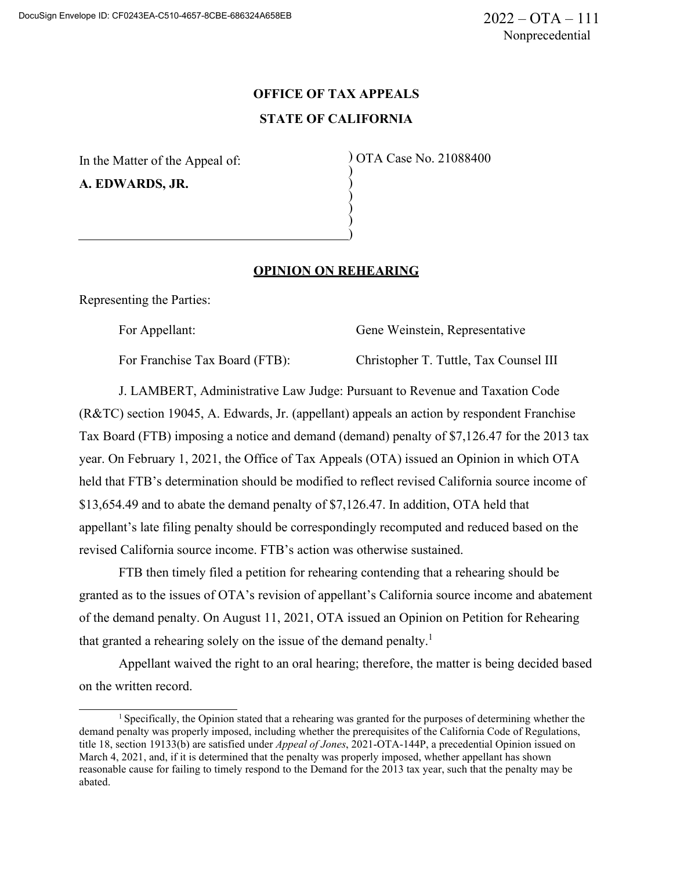# **OFFICE OF TAX APPEALS STATE OF CALIFORNIA**

) ) ) ) ) )

In the Matter of the Appeal of: **A. EDWARDS, JR.**

) OTA Case No. 21088400

## **OPINION ON REHEARING**

Representing the Parties:

For Appellant: Gene Weinstein, Representative

For Franchise Tax Board (FTB): Christopher T. Tuttle, Tax Counsel III

J. LAMBERT, Administrative Law Judge: Pursuant to Revenue and Taxation Code (R&TC) section 19045, A. Edwards, Jr. (appellant) appeals an action by respondent Franchise Tax Board (FTB) imposing a notice and demand (demand) penalty of \$7,126.47 for the 2013 tax year. On February 1, 2021, the Office of Tax Appeals (OTA) issued an Opinion in which OTA held that FTB's determination should be modified to reflect revised California source income of \$13,654.49 and to abate the demand penalty of \$7,126.47. In addition, OTA held that appellant's late filing penalty should be correspondingly recomputed and reduced based on the revised California source income. FTB's action was otherwise sustained.

FTB then timely filed a petition for rehearing contending that a rehearing should be granted as to the issues of OTA's revision of appellant's California source income and abatement of the demand penalty. On August 11, 2021, OTA issued an Opinion on Petition for Rehearing that granted a rehearing solely on the issue of the demand penalty.<sup>1</sup>

Appellant waived the right to an oral hearing; therefore, the matter is being decided based on the written record.

 $<sup>1</sup>$  Specifically, the Opinion stated that a rehearing was granted for the purposes of determining whether the</sup> demand penalty was properly imposed, including whether the prerequisites of the California Code of Regulations, title 18, section 19133(b) are satisfied under *Appeal of Jones*, 2021-OTA-144P, a precedential Opinion issued on March 4, 2021, and, if it is determined that the penalty was properly imposed, whether appellant has shown reasonable cause for failing to timely respond to the Demand for the 2013 tax year, such that the penalty may be abated.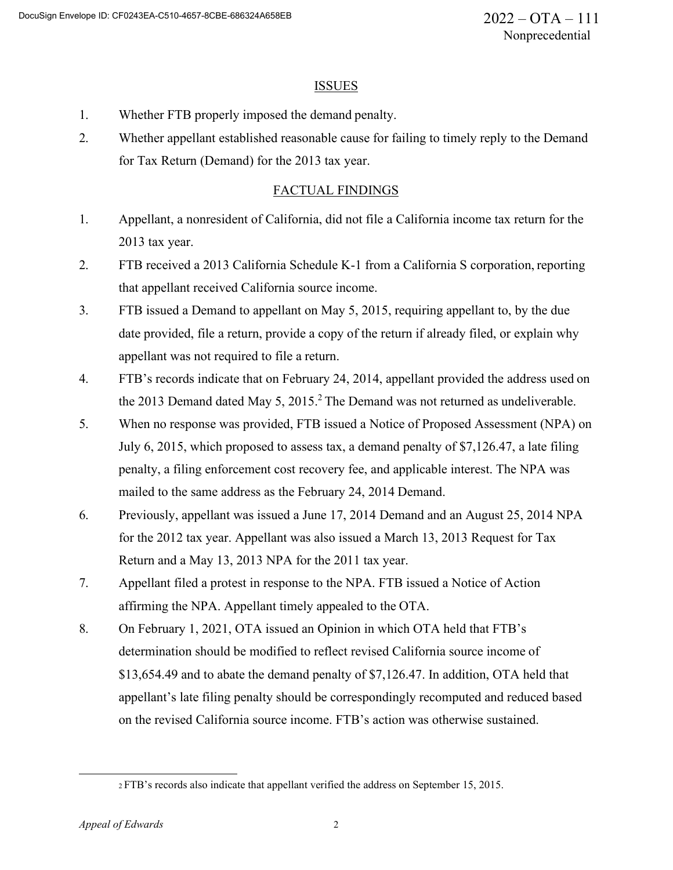#### ISSUES

- 1. Whether FTB properly imposed the demand penalty.
- 2. Whether appellant established reasonable cause for failing to timely reply to the Demand for Tax Return (Demand) for the 2013 tax year.

# FACTUAL FINDINGS

- 1. Appellant, a nonresident of California, did not file a California income tax return for the 2013 tax year.
- 2. FTB received a 2013 California Schedule K-1 from a California S corporation, reporting that appellant received California source income.
- 3. FTB issued a Demand to appellant on May 5, 2015, requiring appellant to, by the due date provided, file a return, provide a copy of the return if already filed, or explain why appellant was not required to file a return.
- 4. FTB's records indicate that on February 24, 2014, appellant provided the address used on the 2013 Demand dated May 5,  $2015<sup>2</sup>$  The Demand was not returned as undeliverable.
- 5. When no response was provided, FTB issued a Notice of Proposed Assessment (NPA) on July 6, 2015, which proposed to assess tax, a demand penalty of \$7,126.47, a late filing penalty, a filing enforcement cost recovery fee, and applicable interest. The NPA was mailed to the same address as the February 24, 2014 Demand.
- 6. Previously, appellant was issued a June 17, 2014 Demand and an August 25, 2014 NPA for the 2012 tax year. Appellant was also issued a March 13, 2013 Request for Tax Return and a May 13, 2013 NPA for the 2011 tax year.
- 7. Appellant filed a protest in response to the NPA. FTB issued a Notice of Action affirming the NPA. Appellant timely appealed to the OTA.
- 8. On February 1, 2021, OTA issued an Opinion in which OTA held that FTB's determination should be modified to reflect revised California source income of \$13,654.49 and to abate the demand penalty of \$7,126.47. In addition, OTA held that appellant's late filing penalty should be correspondingly recomputed and reduced based on the revised California source income. FTB's action was otherwise sustained.

<sup>2</sup> FTB's records also indicate that appellant verified the address on September 15, 2015.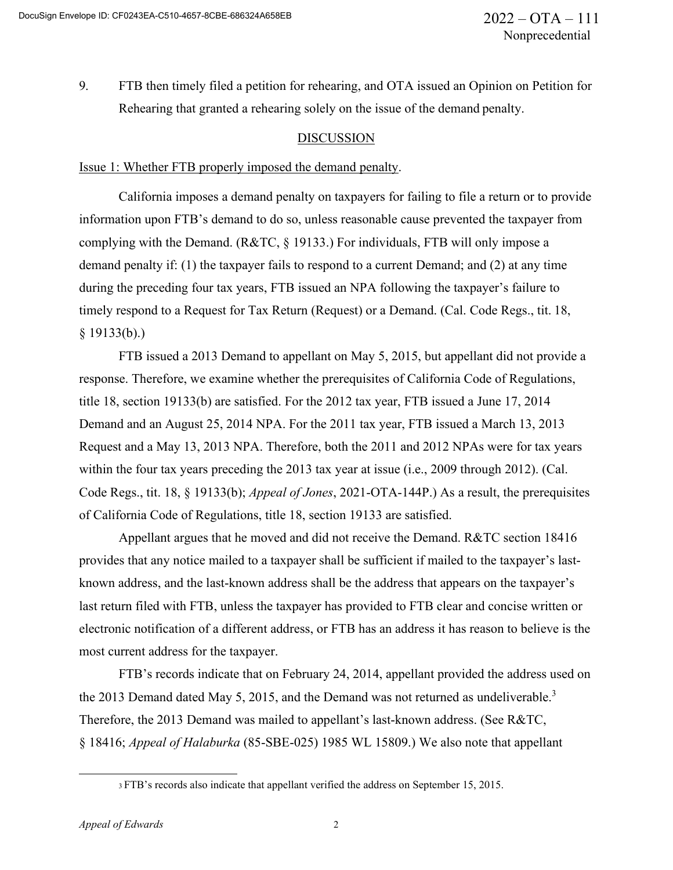9. FTB then timely filed a petition for rehearing, and OTA issued an Opinion on Petition for Rehearing that granted a rehearing solely on the issue of the demand penalty.

## **DISCUSSION**

#### Issue 1: Whether FTB properly imposed the demand penalty.

California imposes a demand penalty on taxpayers for failing to file a return or to provide information upon FTB's demand to do so, unless reasonable cause prevented the taxpayer from complying with the Demand. (R&TC, § 19133.) For individuals, FTB will only impose a demand penalty if: (1) the taxpayer fails to respond to a current Demand; and (2) at any time during the preceding four tax years, FTB issued an NPA following the taxpayer's failure to timely respond to a Request for Tax Return (Request) or a Demand. (Cal. Code Regs., tit. 18,  $§$  19133(b).)

FTB issued a 2013 Demand to appellant on May 5, 2015, but appellant did not provide a response. Therefore, we examine whether the prerequisites of California Code of Regulations, title 18, section 19133(b) are satisfied. For the 2012 tax year, FTB issued a June 17, 2014 Demand and an August 25, 2014 NPA. For the 2011 tax year, FTB issued a March 13, 2013 Request and a May 13, 2013 NPA. Therefore, both the 2011 and 2012 NPAs were for tax years within the four tax years preceding the 2013 tax year at issue (i.e., 2009 through 2012). (Cal. Code Regs., tit. 18, § 19133(b); *Appeal of Jones*, 2021-OTA-144P.) As a result, the prerequisites of California Code of Regulations, title 18, section 19133 are satisfied.

Appellant argues that he moved and did not receive the Demand. R&TC section 18416 provides that any notice mailed to a taxpayer shall be sufficient if mailed to the taxpayer's lastknown address, and the last-known address shall be the address that appears on the taxpayer's last return filed with FTB, unless the taxpayer has provided to FTB clear and concise written or electronic notification of a different address, or FTB has an address it has reason to believe is the most current address for the taxpayer.

FTB's records indicate that on February 24, 2014, appellant provided the address used on the 2013 Demand dated May 5, 2015, and the Demand was not returned as undeliverable.<sup>3</sup> Therefore, the 2013 Demand was mailed to appellant's last-known address. (See R&TC, § 18416; *Appeal of Halaburka* (85-SBE-025) 1985 WL 15809.) We also note that appellant

<sup>3</sup> FTB's records also indicate that appellant verified the address on September 15, 2015.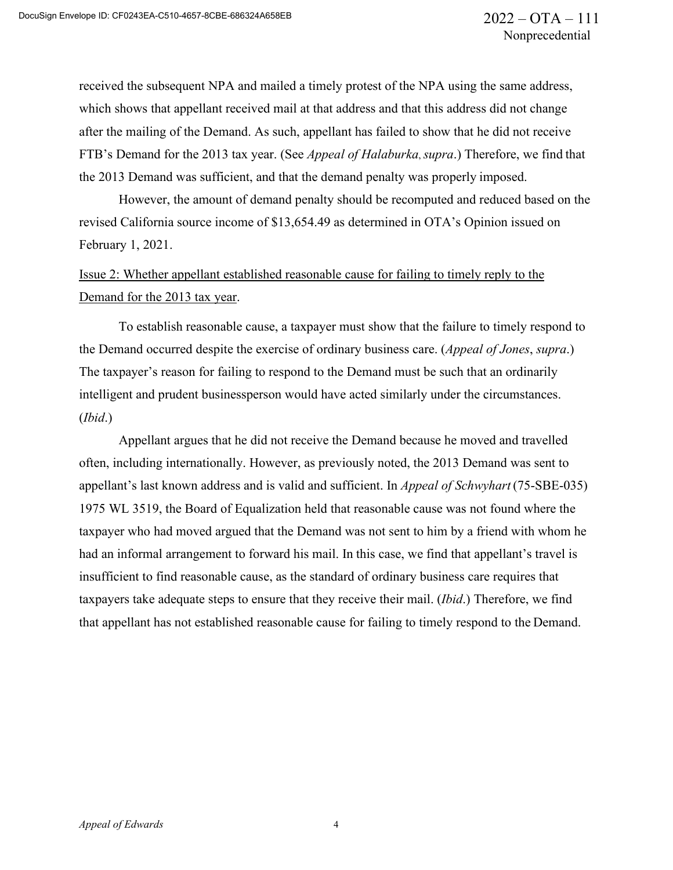received the subsequent NPA and mailed a timely protest of the NPA using the same address, which shows that appellant received mail at that address and that this address did not change after the mailing of the Demand. As such, appellant has failed to show that he did not receive FTB's Demand for the 2013 tax year. (See *Appeal of Halaburka*, *supra*.) Therefore, we find that the 2013 Demand was sufficient, and that the demand penalty was properly imposed.

However, the amount of demand penalty should be recomputed and reduced based on the revised California source income of \$13,654.49 as determined in OTA's Opinion issued on February 1, 2021.

Issue 2: Whether appellant established reasonable cause for failing to timely reply to the Demand for the 2013 tax year.

To establish reasonable cause, a taxpayer must show that the failure to timely respond to the Demand occurred despite the exercise of ordinary business care. (*Appeal of Jones*, *supra*.) The taxpayer's reason for failing to respond to the Demand must be such that an ordinarily intelligent and prudent businessperson would have acted similarly under the circumstances. (*Ibid*.)

Appellant argues that he did not receive the Demand because he moved and travelled often, including internationally. However, as previously noted, the 2013 Demand was sent to appellant's last known address and is valid and sufficient. In *Appeal of Schwyhart* (75-SBE-035) 1975 WL 3519, the Board of Equalization held that reasonable cause was not found where the taxpayer who had moved argued that the Demand was not sent to him by a friend with whom he had an informal arrangement to forward his mail. In this case, we find that appellant's travel is insufficient to find reasonable cause, as the standard of ordinary business care requires that taxpayers take adequate steps to ensure that they receive their mail. (*Ibid*.) Therefore, we find that appellant has not established reasonable cause for failing to timely respond to the Demand.